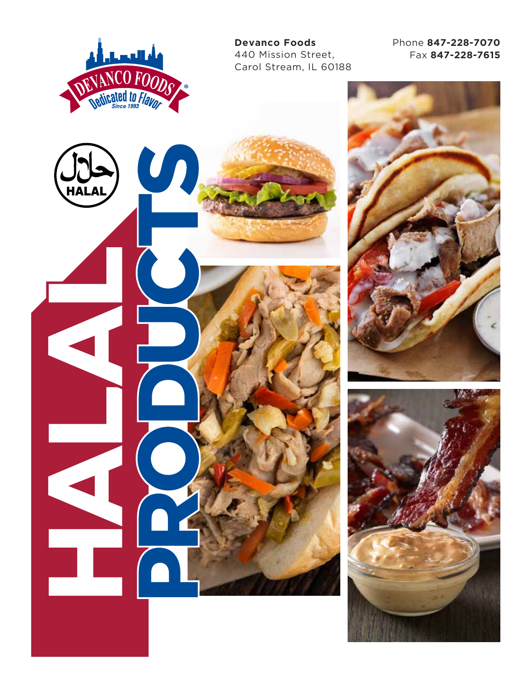

**Devanco Foods** 440 Mission Street, Carol Stream, IL 60188 Phone **847-228-7070** Fax **847-228-7615**